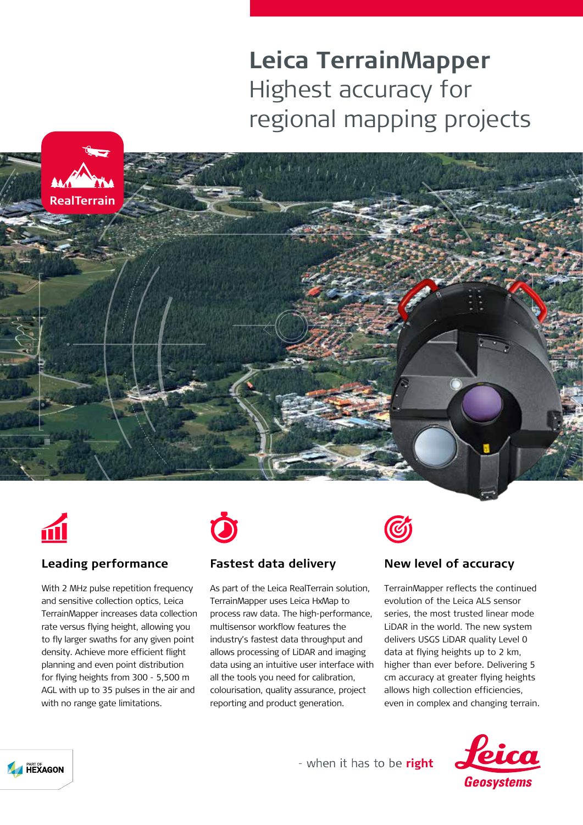# **Leica TerrainMapper** Highest accuracy for regional mapping projects





## **Leading performance**

With 2 MHz pulse repetition frequency and sensitive collection optics, Leica TerrainMapper increases data collection rate versus flying height, allowing you to fly larger swaths for any given point density. Achieve more efficient flight planning and even point distribution for flying heights from 300 - 5,500 m AGL with up to 35 pulses in the air and with no range gate limitations.



## **Fastest data delivery**

As part of the Leica RealTerrain solution, TerrainMapper uses Leica HxMap to process raw data. The high-performance, multisensor workflow features the industry's fastest data throughput and allows processing of LiDAR and imaging data using an intuitive user interface with all the tools you need for calibration, colourisation, quality assurance, project reporting and product generation.



### **New level of accuracy**

TerrainMapper reflects the continued evolution of the Leica ALS sensor series, the most trusted linear mode LiDAR in the world. The new system delivers USGS LiDAR quality Level 0 data at flying heights up to 2 km, higher than ever before. Delivering 5 cm accuracy at greater flying heights allows high collection efficiencies, even in complex and changing terrain.





- when it has to be right